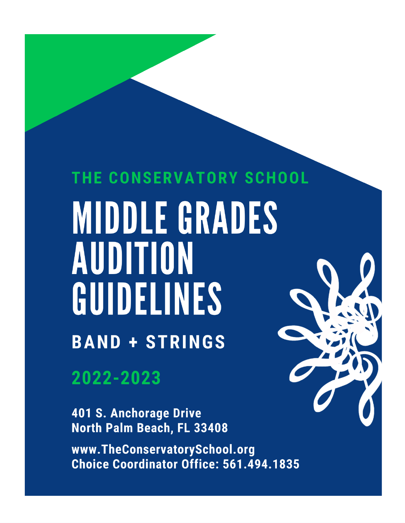# THE CONSERVATORY SCHOOL MIDDLE GRADES AUDITION GUIDELINES **BAND + STRINGS**

2022-2023

**401 S. Anchorage Drive** North Palm Beach, FL 33408

www.TheConservatorySchool.org Choice Coordinator Office: 561.494.1835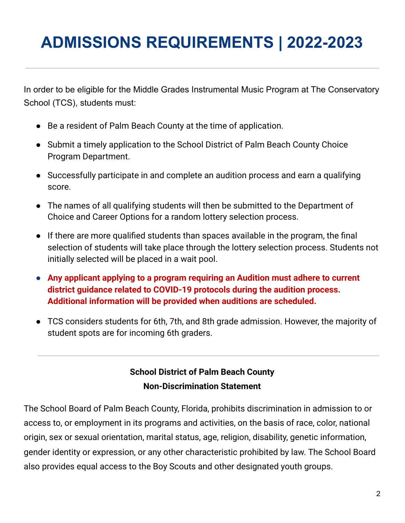# **ADMISSIONS REQUIREMENTS | 2022-2023**

In order to be eligible for the Middle Grades Instrumental Music Program at The Conservatory School (TCS), students must:

- Be a resident of Palm Beach County at the time of application.
- Submit a timely application to the School District of Palm Beach County Choice Program Department.
- Successfully participate in and complete an audition process and earn a qualifying score.
- The names of all qualifying students will then be submitted to the Department of Choice and Career Options for a random lottery selection process.
- If there are more qualified students than spaces available in the program, the final selection of students will take place through the lottery selection process. Students not initially selected will be placed in a wait pool.
- **● Any applicant applying to a program requiring an Audition must adhere to current district guidance related to COVID-19 protocols during the audition process. Additional information will be provided when auditions are scheduled.**
- TCS considers students for 6th, 7th, and 8th grade admission. However, the majority of student spots are for incoming 6th graders.

### **School District of Palm Beach County Non-Discrimination Statement**

The School Board of Palm Beach County, Florida, prohibits discrimination in admission to or access to, or employment in its programs and activities, on the basis of race, color, national origin, sex or sexual orientation, marital status, age, religion, disability, genetic information, gender identity or expression, or any other characteristic prohibited by law. The School Board also provides equal access to the Boy Scouts and other designated youth groups.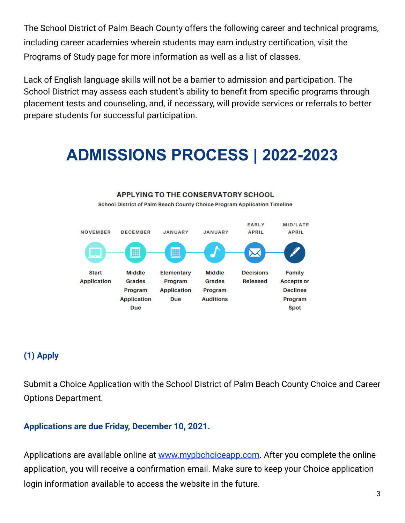The School District of Palm Beach County offers the following career and technical programs, including career academies wherein students may earn industry certification, visit the Programs of Study page for more information as well as a list of classes.

Lack of English language skills will not be a barrier to admission and participation. The School District may assess each student's ability to benefit from specific programs through placement tests and counseling, and, if necessary, will provide services or referrals to better prepare students for successful participation.

### **ADMISSIONS PROCESS | 2022-2023**



### **(1) Apply**

Submit a Choice Application with the School District of Palm Beach County Choice and Career Options Department.

#### **Applications are due Friday, December 10, 2021.**

Applica[t](http://www.mypbchoiceapp.com/)ions are available online at [www.mypbchoiceapp.com](http://www.mypbchoiceapp.com/). After you complete the online application, you will receive a confirmation email. Make sure to keep your Choice application login information available to access the website in the future.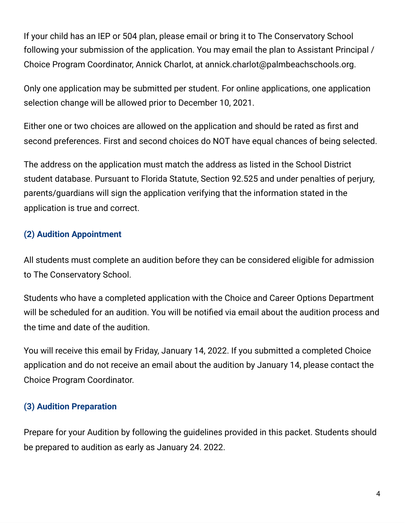If your child has an IEP or 504 plan, please email or bring it to The Conservatory School following your submission of the application. You may email the plan to Assistant Principal / Choice Program Coordinator, Annick Charlot, at annick.charlot@palmbeachschools.org.

Only one application may be submitted per student. For online applications, one application selection change will be allowed prior to December 10, 2021.

Either one or two choices are allowed on the application and should be rated as first and second preferences. First and second choices do NOT have equal chances of being selected.

The address on the application must match the address as listed in the School District student database. Pursuant to Florida Statute, Section 92.525 and under penalties of perjury, parents/guardians will sign the application verifying that the information stated in the application is true and correct.

#### **(2) Audition Appointment**

All students must complete an audition before they can be considered eligible for admission to The Conservatory School.

Students who have a completed application with the Choice and Career Options Department will be scheduled for an audition. You will be notified via email about the audition process and the time and date of the audition.

You will receive this email by Friday, January 14, 2022. If you submitted a completed Choice application and do not receive an email about the audition by January 14, please contact the Choice Program Coordinator.

#### **(3) Audition Preparation**

Prepare for your Audition by following the guidelines provided in this packet. Students should be prepared to audition as early as January 24. 2022.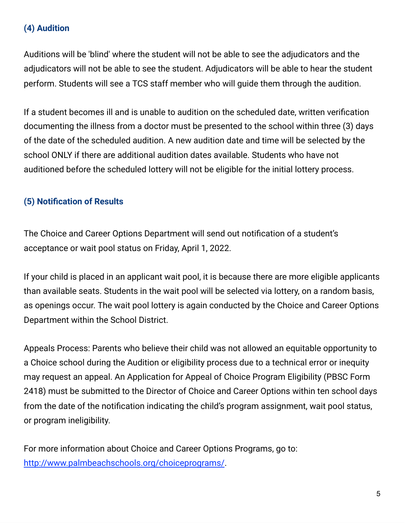#### **(4) Audition**

Auditions will be 'blind' where the student will not be able to see the adjudicators and the adjudicators will not be able to see the student. Adjudicators will be able to hear the student perform. Students will see a TCS staff member who will guide them through the audition.

If a student becomes ill and is unable to audition on the scheduled date, written verification documenting the illness from a doctor must be presented to the school within three (3) days of the date of the scheduled audition. A new audition date and time will be selected by the school ONLY if there are additional audition dates available. Students who have not auditioned before the scheduled lottery will not be eligible for the initial lottery process.

#### **(5) Notification of Results**

The Choice and Career Options Department will send out notification of a student's acceptance or wait pool status on Friday, April 1, 2022.

If your child is placed in an applicant wait pool, it is because there are more eligible applicants than available seats. Students in the wait pool will be selected via lottery, on a random basis, as openings occur. The wait pool lottery is again conducted by the Choice and Career Options Department within the School District.

Appeals Process: Parents who believe their child was not allowed an equitable opportunity to a Choice school during the Audition or eligibility process due to a technical error or inequity may request an appeal. An Application for Appeal of Choice Program Eligibility (PBSC Form 2418) must be submitted to the Director of Choice and Career Options within ten school days from the date of the notification indicating the child's program assignment, wait pool status, or program ineligibility.

For more information about Choice and Career Options Programs, go to: [http://www.palmbeachschools.org/choiceprograms/.](http://www.palmbeachschools.org/choiceprograms/)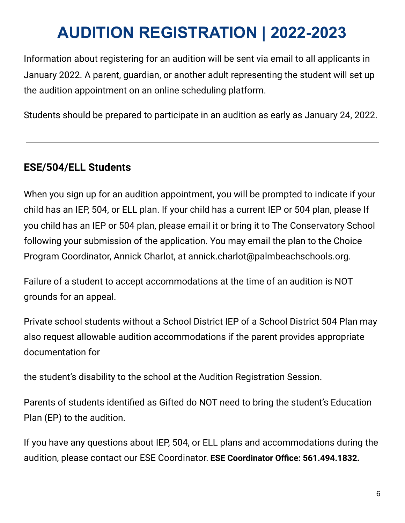# **AUDITION REGISTRATION | 2022-2023**

Information about registering for an audition will be sent via email to all applicants in January 2022. A parent, guardian, or another adult representing the student will set up the audition appointment on an online scheduling platform.

Students should be prepared to participate in an audition as early as January 24, 2022.

### **ESE/504/ELL Students**

When you sign up for an audition appointment, you will be prompted to indicate if your child has an IEP, 504, or ELL plan. If your child has a current IEP or 504 plan, please If you child has an IEP or 504 plan, please email it or bring it to The Conservatory School following your submission of the application. You may email the plan to the Choice Program Coordinator, Annick Charlot, at annick.charlot@palmbeachschools.org.

Failure of a student to accept accommodations at the time of an audition is NOT grounds for an appeal.

Private school students without a School District IEP of a School District 504 Plan may also request allowable audition accommodations if the parent provides appropriate documentation for

the student's disability to the school at the Audition Registration Session.

Parents of students identified as Gifted do NOT need to bring the student's Education Plan (EP) to the audition.

If you have any questions about IEP, 504, or ELL plans and accommodations during the audition, please contact our ESE Coordinator. **ESE Coordinator Office: 561.494.1832.**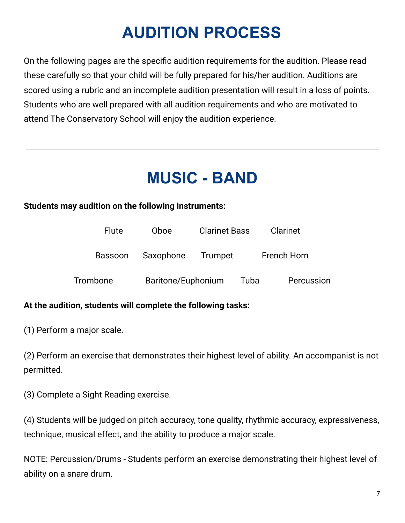## **AUDITION PROCESS**

On the following pages are the specific audition requirements for the audition. Please read these carefully so that your child will be fully prepared for his/her audition. Auditions are scored using a rubric and an incomplete audition presentation will result in a loss of points. Students who are well prepared with all audition requirements and who are motivated to attend The Conservatory School will enjoy the audition experience.

### **MUSIC - BAND**

#### **Students may audition on the following instruments:**

| <b>Flute</b> | Oboe               | <b>Clarinet Bass</b> |                    | Clarinet   |
|--------------|--------------------|----------------------|--------------------|------------|
| Bassoon      | Saxophone          | Trumpet              | <b>French Horn</b> |            |
| Trombone     | Baritone/Euphonium |                      | Tuba               | Percussion |

#### **At the audition, students will complete the following tasks:**

(1) Perform a major scale.

(2) Perform an exercise that demonstrates their highest level of ability. An accompanist is not permitted.

(3) Complete a Sight Reading exercise.

(4) Students will be judged on pitch accuracy, tone quality, rhythmic accuracy, expressiveness, technique, musical effect, and the ability to produce a major scale.

NOTE: Percussion/Drums - Students perform an exercise demonstrating their highest level of ability on a snare drum.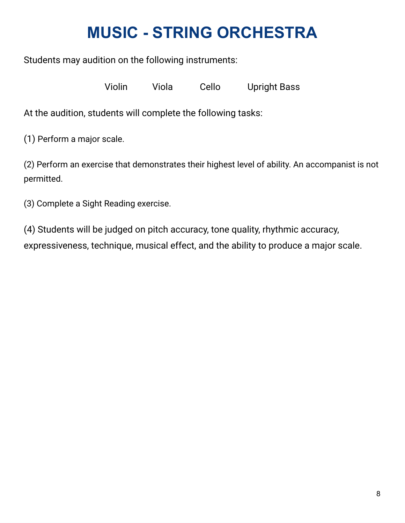## **MUSIC - STRING ORCHESTRA**

Students may audition on the following instruments:

Violin Viola Cello Upright Bass

At the audition, students will complete the following tasks:

(1) Perform a major scale.

(2) Perform an exercise that demonstrates their highest level of ability. An accompanist is not permitted.

(3) Complete a Sight Reading exercise.

(4) Students will be judged on pitch accuracy, tone quality, rhythmic accuracy, expressiveness, technique, musical effect, and the ability to produce a major scale.